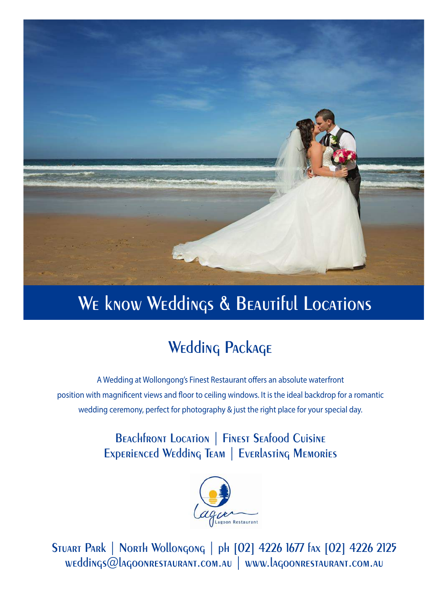

# WE know Weddings & BEAUTIful Locations

# **Wedding Package**

A Wedding at Wollongong's Finest Restaurant offers an absolute waterfront position with magnificent views and floor to ceiling windows. It is the ideal backdrop for a romantic wedding ceremony, perfect for photography & just the right place for your special day.

## **Beachfront Location | Finest Seafood Cuisine Experienced Wedding Team | Everlasting Memories**



**Stuart Park | North Wollongong | ph [02] 4226 1677 fax [02] 4226 2125 weddings@lagoonrestaurant.com.au | www.lagoonrestaurant.com.au**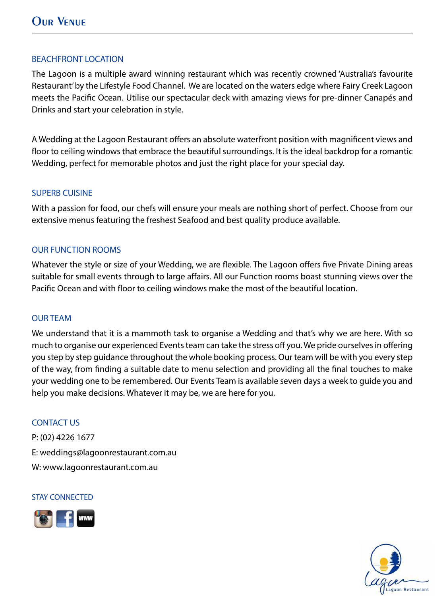#### BEACHFRONT LOCATION

The Lagoon is a multiple award winning restaurant which was recently crowned 'Australia's favourite Restaurant' by the Lifestyle Food Channel. We are located on the waters edge where Fairy Creek Lagoon meets the Pacific Ocean. Utilise our spectacular deck with amazing views for pre-dinner Canapés and Drinks and start your celebration in style.

A Wedding at the Lagoon Restaurant offers an absolute waterfront position with magnificent views and floor to ceiling windows that embrace the beautiful surroundings. It is the ideal backdrop for a romantic Wedding, perfect for memorable photos and just the right place for your special day.

#### SUPERB CUISINE

With a passion for food, our chefs will ensure your meals are nothing short of perfect. Choose from our extensive menus featuring the freshest Seafood and best quality produce available.

## OUR FUNCTION ROOMS

Whatever the style or size of your Wedding, we are flexible. The Lagoon offers five Private Dining areas suitable for small events through to large affairs. All our Function rooms boast stunning views over the Pacific Ocean and with floor to ceiling windows make the most of the beautiful location.

#### OUR TEAM

We understand that it is a mammoth task to organise a Wedding and that's why we are here. With so much to organise our experienced Events team can take the stress off you. We pride ourselves in offering you step by step guidance throughout the whole booking process. Our team will be with you every step of the way, from finding a suitable date to menu selection and providing all the final touches to make your wedding one to be remembered. Our Events Team is available seven days a week to guide you and help you make decisions. Whatever it may be, we are here for you.

#### CONTACT US

P: (02) 4226 1677 E: weddings@lagoonrestaurant.com.au W: www.lagoonrestaurant.com.au

#### STAY CONNECTED



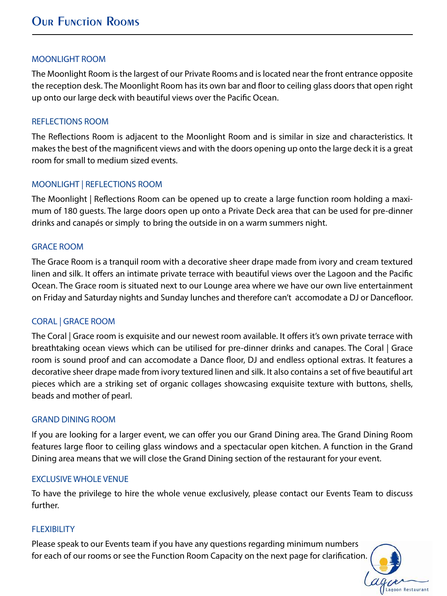#### MOONLIGHT ROOM

The Moonlight Room is the largest of our Private Rooms and is located near the front entrance opposite the reception desk. The Moonlight Room has its own bar and floor to ceiling glass doors that open right up onto our large deck with beautiful views over the Pacific Ocean.

#### REFLECTIONS ROOM

The Reflections Room is adjacent to the Moonlight Room and is similar in size and characteristics. It makes the best of the magnificent views and with the doors opening up onto the large deck it is a great room for small to medium sized events.

## MOONLIGHT | REFLECTIONS ROOM

The Moonlight | Reflections Room can be opened up to create a large function room holding a maximum of 180 guests. The large doors open up onto a Private Deck area that can be used for pre-dinner drinks and canapés or simply to bring the outside in on a warm summers night.

#### GRACE ROOM

The Grace Room is a tranquil room with a decorative sheer drape made from ivory and cream textured linen and silk. It offers an intimate private terrace with beautiful views over the Lagoon and the Pacific Ocean. The Grace room is situated next to our Lounge area where we have our own live entertainment on Friday and Saturday nights and Sunday lunches and therefore can't accomodate a DJ or Dancefloor.

## CORAL | GRACE ROOM

The Coral | Grace room is exquisite and our newest room available. It offers it's own private terrace with breathtaking ocean views which can be utilised for pre-dinner drinks and canapes. The Coral | Grace room is sound proof and can accomodate a Dance floor, DJ and endless optional extras. It features a decorative sheer drape made from ivory textured linen and silk. It also contains a set of five beautiful art pieces which are a striking set of organic collages showcasing exquisite texture with buttons, shells, beads and mother of pearl.

#### GRAND DINING ROOM

If you are looking for a larger event, we can offer you our Grand Dining area. The Grand Dining Room features large floor to ceiling glass windows and a spectacular open kitchen. A function in the Grand Dining area means that we will close the Grand Dining section of the restaurant for your event.

#### EXCLUSIVE WHOLE VENUE

To have the privilege to hire the whole venue exclusively, please contact our Events Team to discuss further.

## **FLEXIBILITY**

Please speak to our Events team if you have any questions regarding minimum numbers for each of our rooms or see the Function Room Capacity on the next page for clarification.

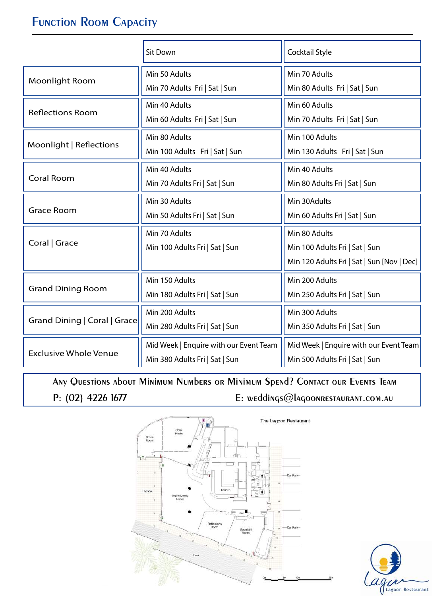# **Function Room Capacity**

|                              | Sit Down                                                                 | Cocktail Style                                                                                |  |
|------------------------------|--------------------------------------------------------------------------|-----------------------------------------------------------------------------------------------|--|
| <b>Moonlight Room</b>        | Min 50 Adults<br>Min 70 Adults Fri   Sat   Sun                           | Min 70 Adults<br>Min 80 Adults Fri   Sat   Sun                                                |  |
| <b>Reflections Room</b>      | Min 40 Adults<br>Min 60 Adults Fri   Sat   Sun                           | Min 60 Adults<br>Min 70 Adults Fri   Sat   Sun                                                |  |
| Moonlight   Reflections      | Min 80 Adults<br>Min 100 Adults Fri   Sat   Sun                          |                                                                                               |  |
| <b>Coral Room</b>            | Min 40 Adults<br>Min 70 Adults Fri   Sat   Sun                           | Min 40 Adults<br>Min 80 Adults Fri   Sat   Sun                                                |  |
| <b>Grace Room</b>            | Min 30 Adults<br>Min 50 Adults Fri   Sat   Sun                           | Min 30Adults<br>Min 60 Adults Fri   Sat   Sun                                                 |  |
| Coral   Grace                | Min 70 Adults<br>Min 100 Adults Fri   Sat   Sun                          | Min 80 Adults<br>Min 100 Adults Fri   Sat   Sun<br>Min 120 Adults Fri   Sat   Sun [Nov   Dec] |  |
| <b>Grand Dining Room</b>     | Min 150 Adults<br>Min 180 Adults Fri   Sat   Sun                         | Min 200 Adults<br>Min 250 Adults Fri   Sat   Sun                                              |  |
| Grand Dining   Coral   Grace | Min 200 Adults<br>Min 280 Adults Fri   Sat   Sun                         | Min 300 Adults<br>Min 350 Adults Fri   Sat   Sun                                              |  |
| <b>Exclusive Whole Venue</b> | Mid Week   Enquire with our Event Team<br>Min 380 Adults Fri   Sat   Sun | Mid Week   Enquire with our Event Team<br>Min 500 Adults Fri   Sat   Sun                      |  |

**Any Questions about Minimum Numbers or Minimum Spend? Contact our Events Team P: (02) 4226 1677 E: weddings@lagoonrestaurant.com.au**



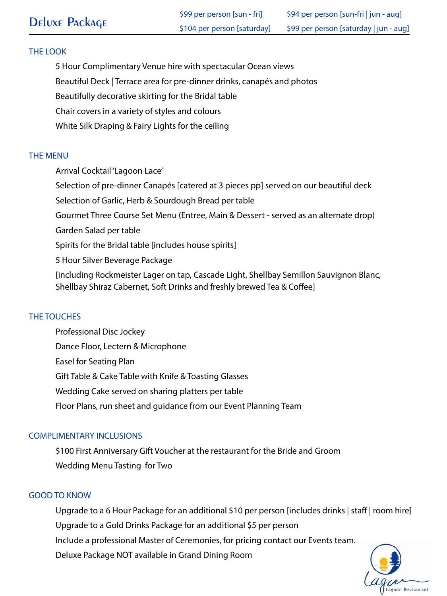5 Hour Complimentary Venue hire with spectacular Ocean views

Beautiful Deck | Terrace area for pre-dinner drinks, canapés and photos

Beautifully decorative skirting for the Bridal table

Chair covers in a variety of styles and colours

White Silk Draping & Fairy Lights for the ceiling

## THE MENU

Arrival Cocktail 'Lagoon Lace' Selection of pre-dinner Canapés [catered at 3 pieces pp] served on our beautiful deck Selection of Garlic, Herb & Sourdough Bread per table Gourmet Three Course Set Menu (Entree, Main & Dessert - served as an alternate drop) Garden Salad per table Spirits for the Bridal table [includes house spirits] 5 Hour Silver Beverage Package [including Rockmeister Lager on tap, Cascade Light, Shellbay Semillon Sauvignon Blanc, Shellbay Shiraz Cabernet, Soft Drinks and freshly brewed Tea & Coffee]

## THE TOUCHES

Professional Disc Jockey Dance Floor, Lectern & Microphone Easel for Seating Plan Gift Table & Cake Table with Knife & Toasting Glasses Wedding Cake served on sharing platters per table Floor Plans, run sheet and guidance from our Event Planning Team

## COMPLIMENTARY INCLUSIONS

\$100 First Anniversary Gift Voucher at the restaurant for the Bride and Groom Wedding Menu Tasting for Two

## GOOD TO KNOW

Upgrade to a 6 Hour Package for an additional \$10 per person [includes drinks | staff | room hire] Upgrade to a Gold Drinks Package for an additional \$5 per person Include a professional Master of Ceremonies, for pricing contact our Events team. Deluxe Package NOT available in Grand Dining Room

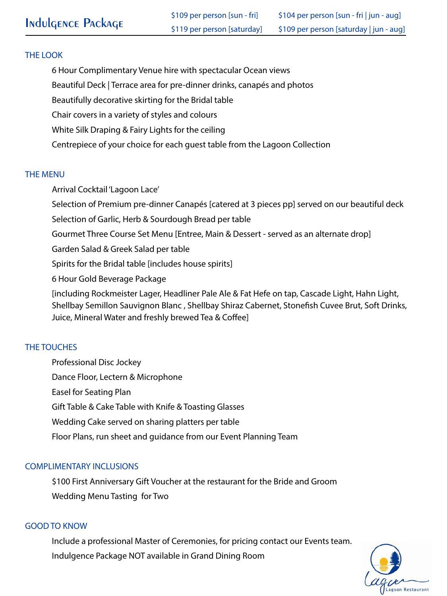6 Hour Complimentary Venue hire with spectacular Ocean views

Beautiful Deck | Terrace area for pre-dinner drinks, canapés and photos

Beautifully decorative skirting for the Bridal table

Chair covers in a variety of styles and colours

White Silk Draping & Fairy Lights for the ceiling

Centrepiece of your choice for each guest table from the Lagoon Collection

#### THE MENU

Arrival Cocktail 'Lagoon Lace'

Selection of Premium pre-dinner Canapés [catered at 3 pieces pp] served on our beautiful deck

Selection of Garlic, Herb & Sourdough Bread per table

Gourmet Three Course Set Menu [Entree, Main & Dessert - served as an alternate drop]

Garden Salad & Greek Salad per table

Spirits for the Bridal table [includes house spirits]

6 Hour Gold Beverage Package

[including Rockmeister Lager, Headliner Pale Ale & Fat Hefe on tap, Cascade Light, Hahn Light, Shellbay Semillon Sauvignon Blanc, Shellbay Shiraz Cabernet, Stonefish Cuvee Brut, Soft Drinks, Juice, Mineral Water and freshly brewed Tea & Coffee]

## THE TOUCHES

Professional Disc Jockey Dance Floor, Lectern & Microphone Easel for Seating Plan Gift Table & Cake Table with Knife & Toasting Glasses Wedding Cake served on sharing platters per table Floor Plans, run sheet and guidance from our Event Planning Team

## COMPLIMENTARY INCLUSIONS

\$100 First Anniversary Gift Voucher at the restaurant for the Bride and Groom Wedding Menu Tasting for Two

## GOOD TO KNOW

 Include a professional Master of Ceremonies, for pricing contact our Events team. Indulgence Package NOT available in Grand Dining Room

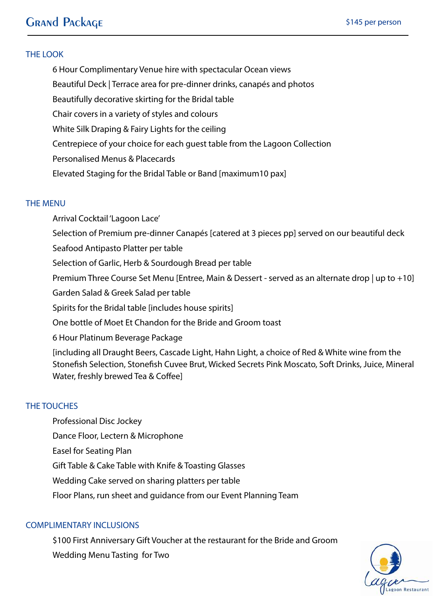# **Grand Package**

#### THE LOOK

6 Hour Complimentary Venue hire with spectacular Ocean views Beautiful Deck | Terrace area for pre-dinner drinks, canapés and photos Beautifully decorative skirting for the Bridal table Chair covers in a variety of styles and colours White Silk Draping & Fairy Lights for the ceiling Centrepiece of your choice for each guest table from the Lagoon Collection Personalised Menus & Placecards Elevated Staging for the Bridal Table or Band [maximum10 pax]

#### THE MENU

Arrival Cocktail 'Lagoon Lace' Selection of Premium pre-dinner Canapés [catered at 3 pieces pp] served on our beautiful deck Seafood Antipasto Platter per table Selection of Garlic, Herb & Sourdough Bread per table Premium Three Course Set Menu [Entree, Main & Dessert - served as an alternate drop | up to +10] Garden Salad & Greek Salad per table Spirits for the Bridal table [includes house spirits] One bottle of Moet Et Chandon for the Bride and Groom toast 6 Hour Platinum Beverage Package [including all Draught Beers, Cascade Light, Hahn Light, a choice of Red & White wine from the Stonefish Selection, Stonefish Cuvee Brut, Wicked Secrets Pink Moscato, Soft Drinks, Juice, Mineral Water, freshly brewed Tea & Coffee]

#### THE TOUCHES

Professional Disc Jockey Dance Floor, Lectern & Microphone Easel for Seating Plan Gift Table & Cake Table with Knife & Toasting Glasses Wedding Cake served on sharing platters per table Floor Plans, run sheet and guidance from our Event Planning Team

#### COMPLIMENTARY INCLUSIONS

\$100 First Anniversary Gift Voucher at the restaurant for the Bride and Groom Wedding Menu Tasting for Two

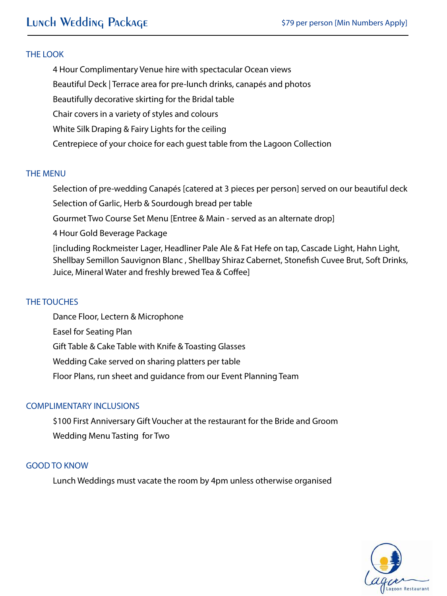4 Hour Complimentary Venue hire with spectacular Ocean views Beautiful Deck | Terrace area for pre-lunch drinks, canapés and photos Beautifully decorative skirting for the Bridal table Chair covers in a variety of styles and colours White Silk Draping & Fairy Lights for the ceiling Centrepiece of your choice for each guest table from the Lagoon Collection

#### THE MENU

Selection of pre-wedding Canapés [catered at 3 pieces per person] served on our beautiful deck

Selection of Garlic, Herb & Sourdough bread per table

Gourmet Two Course Set Menu [Entree & Main - served as an alternate drop]

4 Hour Gold Beverage Package

[including Rockmeister Lager, Headliner Pale Ale & Fat Hefe on tap, Cascade Light, Hahn Light, Shellbay Semillon Sauvignon Blanc, Shellbay Shiraz Cabernet, Stonefish Cuvee Brut, Soft Drinks, Juice, Mineral Water and freshly brewed Tea & Coffee]

#### THE TOUCHES

 Dance Floor, Lectern & Microphone Easel for Seating Plan Gift Table & Cake Table with Knife & Toasting Glasses Wedding Cake served on sharing platters per table Floor Plans, run sheet and guidance from our Event Planning Team

#### COMPLIMENTARY INCLUSIONS

 \$100 First Anniversary Gift Voucher at the restaurant for the Bride and Groom Wedding Menu Tasting for Two

#### GOOD TO KNOW

Lunch Weddings must vacate the room by 4pm unless otherwise organised

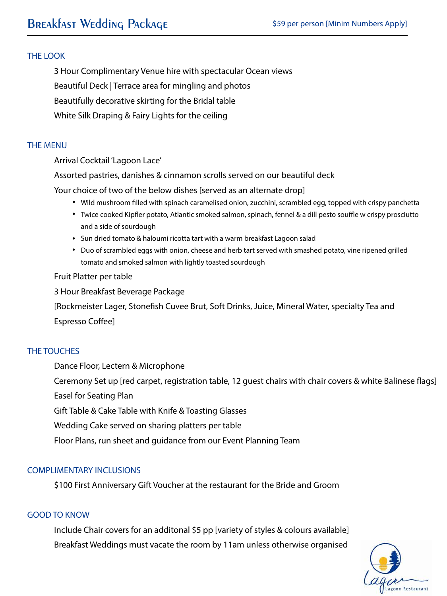3 Hour Complimentary Venue hire with spectacular Ocean views Beautiful Deck | Terrace area for mingling and photos Beautifully decorative skirting for the Bridal table White Silk Draping & Fairy Lights for the ceiling

#### THE MENU

Arrival Cocktail 'Lagoon Lace'

Assorted pastries, danishes & cinnamon scrolls served on our beautiful deck

Your choice of two of the below dishes [served as an alternate drop]

- Wild mushroom filled with spinach caramelised onion, zucchini, scrambled egg, topped with crispy panchetta
- Twice cooked Kipfler potato, Atlantic smoked salmon, spinach, fennel & a dill pesto souffle w crispy prosciutto and a side of sourdough
- Sun dried tomato & haloumi ricotta tart with a warm breakfast Lagoon salad
- Duo of scrambled eggs with onion, cheese and herb tart served with smashed potato, vine ripened grilled tomato and smoked salmon with lightly toasted sourdough

#### Fruit Platter per table

3 Hour Breakfast Beverage Package

[Rockmeister Lager, Stonefish Cuvee Brut, Soft Drinks, Juice, Mineral Water, specialty Tea and

Espresso Coffee]

#### THE TOUCHES

Dance Floor, Lectern & Microphone

Ceremony Set up [red carpet, registration table, 12 guest chairs with chair covers & white Balinese flags]

Easel for Seating Plan

Gift Table & Cake Table with Knife & Toasting Glasses

Wedding Cake served on sharing platters per table

Floor Plans, run sheet and guidance from our Event Planning Team

#### COMPLIMENTARY INCLUSIONS

\$100 First Anniversary Gift Voucher at the restaurant for the Bride and Groom

#### GOOD TO KNOW

Include Chair covers for an additonal \$5 pp [variety of styles & colours available] Breakfast Weddings must vacate the room by 11am unless otherwise organised

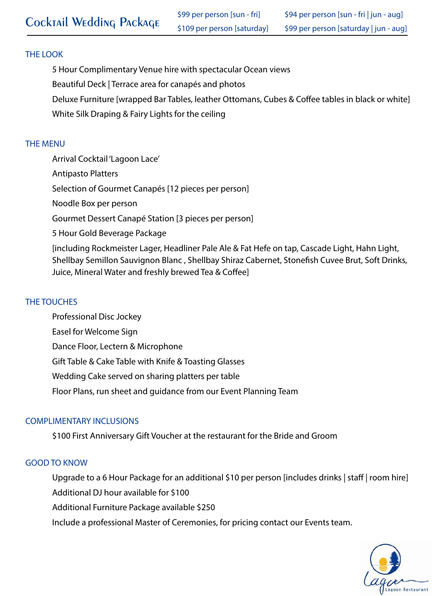5 Hour Complimentary Venue hire with spectacular Ocean views Beautiful Deck | Terrace area for canapés and photos Deluxe Furniture [wrapped Bar Tables, leather Ottomans, Cubes & Coffee tables in black or white] White Silk Draping & Fairy Lights for the ceiling

#### THE MENU

Arrival Cocktail 'Lagoon Lace'

Antipasto Platters

Selection of Gourmet Canapés [12 pieces per person]

Noodle Box per person

Gourmet Dessert Canapé Station [3 pieces per person]

5 Hour Gold Beverage Package

[including Rockmeister Lager, Headliner Pale Ale & Fat Hefe on tap, Cascade Light, Hahn Light, Shellbay Semillon Sauvignon Blanc, Shellbay Shiraz Cabernet, Stonefish Cuvee Brut, Soft Drinks, Juice, Mineral Water and freshly brewed Tea & Coffee]

## THE TOUCHES

 Professional Disc Jockey Easel for Welcome Sign Dance Floor, Lectern & Microphone Gift Table & Cake Table with Knife & Toasting Glasses Wedding Cake served on sharing platters per table Floor Plans, run sheet and guidance from our Event Planning Team

## COMPLIMENTARY INCLUSIONS

\$100 First Anniversary Gift Voucher at the restaurant for the Bride and Groom

#### GOOD TO KNOW

Upgrade to a 6 Hour Package for an additional \$10 per person [includes drinks | staff | room hire] Additional DJ hour available for \$100

Additional Furniture Package available \$250

Include a professional Master of Ceremonies, for pricing contact our Events team.

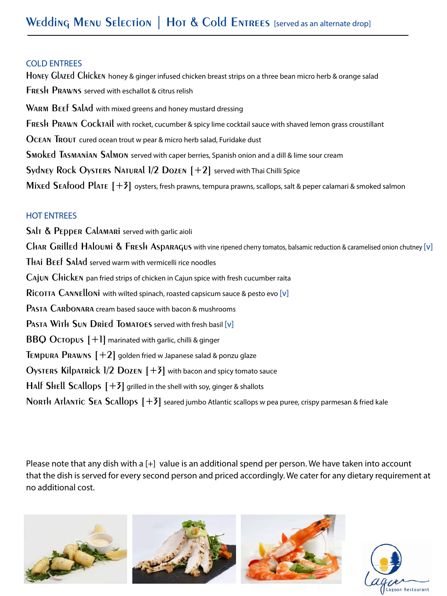#### COLD ENTREES

**Honey Glazed Chicken** honey & ginger infused chicken breast strips on a three bean micro herb & orange salad **Fresh Prawns** served with eschallot & citrus relish **Warm Beef Salad** with mixed greens and honey mustard dressing **Fresh Prawn Cocktail** with rocket, cucumber & spicy lime cocktail sauce with shaved lemon grass croustillant **Ocean Trout** cured ocean trout w pear & micro herb salad, Furidake dust **Smoked Tasmanian Salmon** served with caper berries, Spanish onion and a dill & lime sour cream **Sydney Rock Oysters Natural 1/2 Dozen [+2]** served with Thai Chilli Spice **Mixed Seafood Plate [+3]** oysters, fresh prawns, tempura prawns, scallops, salt & peper calamari & smoked salmon

## HOT ENTREES

**Salt & Pepper Calamari** served with garlic aioli **Char Grilled Haloumi & Fresh Asparagus** with vine ripened cherry tomatos, balsamic reduction & caramelised onion chutney [v] **Thai Beef Salad** served warm with vermicelli rice noodles **Cajun Chicken** pan fried strips of chicken in Cajun spice with fresh cucumber raita **Ricotta Cannelloni** with wilted spinach, roasted capsicum sauce & pesto evo [v] **Pasta Carbonara** cream based sauce with bacon & mushrooms **Pasta With Sun Dried Tomatoes** served with fresh basil [v] **BBQ Octopus**  $[+]$  marinated with garlic, chilli & ginger **Tempura Prawns [+2]** golden fried w Japanese salad & ponzu glaze **Oysters Kilpatrick 1/2 Dozen [+3]** with bacon and spicy tomato sauce **Half Shell Scallops [+3]** grilled in the shell with soy, ginger & shallots **North Atlantic Sea Scallops [+3]** seared jumbo Atlantic scallops w pea puree, crispy parmesan & fried kale

Please note that any dish with a [+] value is an additional spend per person. We have taken into account that the dish is served for every second person and priced accordingly. We cater for any dietary requirement at no additional cost.



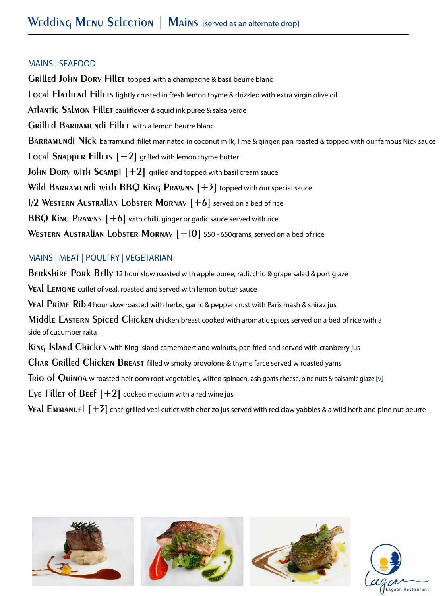#### MAINS | SEAFOOD

**Grilled John Dory Fillet** topped with a champagne & basil beurre blanc **Local Flathead Fillets** lightly crusted in fresh lemon thyme & drizzled with extra virgin olive oil **Atlantic Salmon Fillet** cauliflower & squid ink puree & salsa verde **Grilled Barramundi Fillet** with a lemon beurre blanc **Barramundi Nick** barramundi fillet marinated in coconut milk, lime & ginger, pan roasted & topped with our famous Nick sauce **Local SNAPPER Fillets**  $[+2]$  grilled with lemon thyme butter **John Dory with Scampi [+2]** grilled and topped with basil cream sauce **Wild Barramundi with BBQ King Prawns [+3]** topped with our special sauce **1/2 Western Australian Lobster Mornay [+6]** served on a bed of rice **BBQ King Prawns [+6]** with chilli, ginger or garlic sauce served with rice **Western Australian Lobster Mornay [+10]** 550 - 650grams, served on a bed of rice

## MAINS | MEAT | POULTRY | VEGETARIAN

**Berkshire Pork Belly** 12 hour slow roasted with apple puree, radicchio & grape salad & port glaze **Veal Lemone** cutlet of veal, roasted and served with lemon butter sauce **Veal Prime Rib** 4 hour slow roasted with herbs, garlic & pepper crust with Paris mash & shiraz jus **Middle Eastern Spiced Chicken** chicken breast cooked with aromatic spices served on a bed of rice with a side of cucumber raita **King Island Chicken** with King Island camembert and walnuts, pan fried and served with cranberry jus **Char Grilled Chicken Breast** filled w smoky provolone & thyme farce served w roasted yams **Trio of Quinoa** w roasted heirloom root vegetables, wilted spinach, ash goats cheese, pine nuts & balsamic glaze [v] Eye Fillet of  $B$ eef  $[+2]$  cooked medium with a red wine jus **V**EA $\mathsf I$   $\mathsf F$  and  $\mathsf I$   $\mathsf F$  and  $\mathsf F$  char-grilled veal cutlet with chorizo jus served with red claw yabbies & a wild herb and pine nut beurre



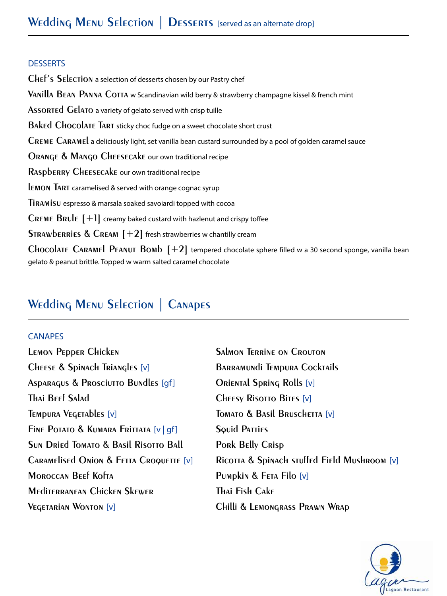#### **DESSERTS**

**Chef's Selection** a selection of desserts chosen by our Pastry chef **Vanilla Bean Panna Cotta** w Scandinavian wild berry & strawberry champagne kissel & french mint **Assorted Gelato** a variety of gelato served with crisp tuille **Baked Chocolate Tart** sticky choc fudge on a sweet chocolate short crust **Creme Caramel** a deliciously light, set vanilla bean custard surrounded by a pool of golden caramel sauce **Orange & Mango Cheesecake** our own traditional recipe **Raspberry Cheesecake** our own traditional recipe **lemon Tart** caramelised & served with orange cognac syrup **Tiramisu** espresso & marsala soaked savoiardi topped with cocoa **Creme Brule [+1]** creamy baked custard with hazlenut and crispy toffee **Strawberries & Cream [+2]** fresh strawberries w chantilly cream **Chocolate Caramel Peanut Bomb [+2]** tempered chocolate sphere filled w a 30 second sponge, vanilla bean gelato & peanut brittle. Topped w warm salted caramel chocolate

# **Wedding Menu Selection | Canapes**

#### CANAPES

**LEMON PEDDER CHICKEN** SALMON TERRINE ON CROUTON **Cheese & Spinach Triangles** [v] **Barramundi Tempura Cocktails Asparagus & Prosciutto Bundles** [gf] **Oriental Spring Rolls** [v] **Thai Beef Salad Cheesy Risotto Bites** [v] **Tempura Vegetables** [v] **Tomato & Basil Bruschetta** [v] **Fine Potato & Kumara Frittata** [v | gf] **Squid Patties Sun Dried Tomato & Basil Risotto Ball Pork Belly Crisp Moroccan Beef Kofta Pumpkin & Feta Filo** [v] **Mediterranean Chicken Skewer Thai Fish Cake Vegetarian Wonton** [v] **Chilli & Lemongrass Prawn Wrap**

**Caramelised Onion & Fetta Croquette** [v] **Ricotta & Spinach stuffed Field Mushroom** [v]

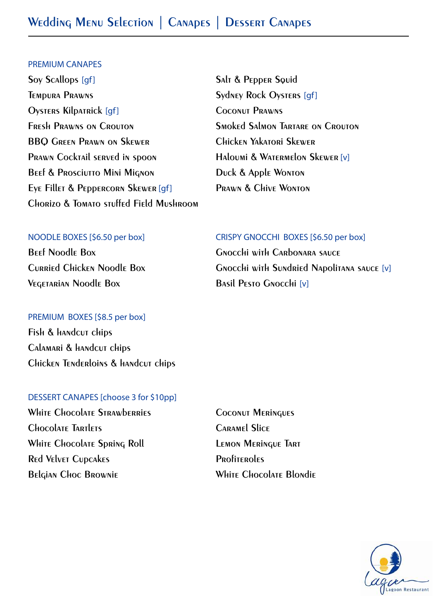#### PREMIUM CANAPES

- **Soy Scallops [gf]** Salt & Pepper Squid **TEMPURA PRAWNS** Sydney Rock Oysters [qf] **Oysters Kilpatrick** [gf] **Coconut Prawns Fresh Prawns on Crouton Smoked Salmon Tartare on Crouton BBQ Green Prawn on Skewer Chicken Yakatori Skewer Prawn Cocktail served in spoon Haloumi & Watermelon Skewer** [v] **BEEF & PROSCIUTTO MINI MIGNON DUCK & Apple WONTON Eye Fillet & Peppercorn Skewer** [gf] **Prawn & Chive Wonton Chorizo & Tomato stuffed Field Mushroom** 
	-

#### NOODLE BOXES [\$6.50 per box] CRISPY GNOCCHI BOXES [\$6.50 per box]

**Vegetarian Noodle Box Basil Pesto Gnocchi** [v]

#### PREMIUM BOXES [\$8.5 per box]

**Fish & handcut chips Calamari & handcut chips Chicken Tenderloins & handcut chips** 

#### DESSERT CANAPES [choose 3 for \$10pp]

White Chocolate Strawberries **COCONUT Meringues Chocolate Tartlets Caramel Slice** White Chocolate Spring Roll **Lemon Meringue Tart Red Velvet Cupcakes Profiteroles Belgian Choc Brownie White Chocolate Blondie**

**Beef Noodle Box Gnocchi with Carbonara sauce Curried Chicken Noodle Box Gnocchi with Sundried Napolitana sauce** [v]

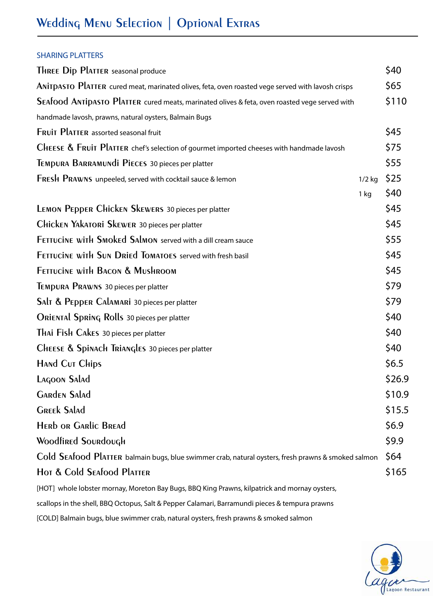#### SHARING PLATTERS

| THREE Dip PlATTER seasonal produce                                                                  |          | \$40   |  |
|-----------------------------------------------------------------------------------------------------|----------|--------|--|
| ANITDASTO PlATTER cured meat, marinated olives, feta, oven roasted vege served with lavosh crisps   |          |        |  |
| SEAfood ANTIDASTO PlATTER cured meats, marinated olives & feta, oven roasted vege served with       |          |        |  |
| handmade lavosh, prawns, natural oysters, Balmain Bugs                                              |          |        |  |
| FRUIT PLATTER assorted seasonal fruit                                                               |          | \$45   |  |
| CHEESE $\&$ Fruit Platter chef's selection of gourmet imported cheeses with handmade lavosh         |          | \$75   |  |
| TEMPURA BARRAMUNDI PIECES 30 pieces per platter                                                     |          | \$55   |  |
| FRESH PRAWNS unpeeled, served with cocktail sauce & lemon                                           | $1/2$ kg | \$25   |  |
|                                                                                                     | $1$ kg   | \$40   |  |
| LEMON PEPPER CHICKEN SKEWERS 30 pieces per platter                                                  |          | \$45   |  |
| Chicken Yakatori Skewer 30 pieces per platter                                                       |          | \$45   |  |
| <b>FETTUCINE WITH SMOKED SALMON served with a dill cream sauce</b>                                  |          | \$55   |  |
| FETTUCINE WITH SUN DRIEd TOMATOES served with fresh basil                                           |          | \$45   |  |
| <b>FETTUCINE WITH BACON &amp; MUSHROOM</b>                                                          |          | \$45   |  |
| TEMPURA PRAWNS 30 pieces per platter                                                                |          | \$79   |  |
| SAIT & PEPPER CALAMARI 30 pieces per platter                                                        |          | \$79   |  |
| ORIENTAl SpRING Rolls 30 pieces per platter                                                         |          | \$40   |  |
| THAI FISH CAKES 30 pieces per platter                                                               |          | \$40   |  |
| CHEESE & Spinach Triangles 30 pieces per platter                                                    |          | \$40   |  |
| HAND CUT Chips                                                                                      |          | \$6.5  |  |
| Lagoon Salad                                                                                        |          | \$26.9 |  |
| <b>GARDEN SALAD</b>                                                                                 |          | \$10.9 |  |
| <b>GREEK SALAD</b>                                                                                  |          | \$15.5 |  |
| <b>HERD OR GARLIC BREAD</b>                                                                         |          | \$6.9  |  |
| <b>Woodfined Soundough</b>                                                                          |          | \$9.9  |  |
| Cold SEAfood PlATTER balmain bugs, blue swimmer crab, natural oysters, fresh prawns & smoked salmon |          | \$64   |  |
| Hot & Cold Seafood Platter                                                                          |          |        |  |
| [HOT] whole lobster mornay, Moreton Bay Bugs, BBQ King Prawns, kilpatrick and mornay oysters,       |          |        |  |
|                                                                                                     |          |        |  |

scallops in the shell, BBQ Octopus, Salt & Pepper Calamari, Barramundi pieces & tempura prawns

[COLD] Balmain bugs, blue swimmer crab, natural oysters, fresh prawns & smoked salmon

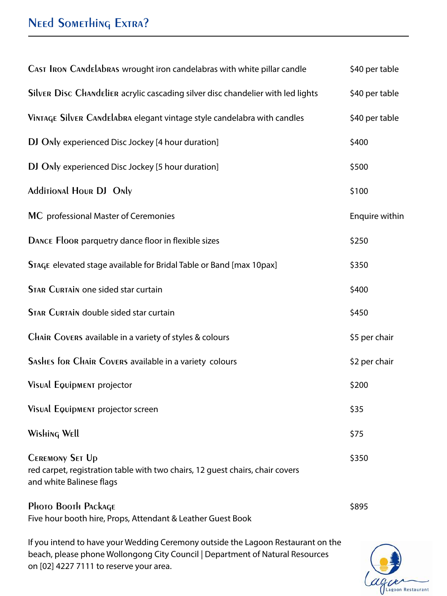# **NEED SOMETHING EXTRA?**

| CAST IRON CANdelabras wrought iron candelabras with white pillar candle                                                             | \$40 per table |
|-------------------------------------------------------------------------------------------------------------------------------------|----------------|
| Silver Disc Chandelier acrylic cascading silver disc chandelier with led lights                                                     | \$40 per table |
| VINTAGE SILVER CANdelabra elegant vintage style candelabra with candles                                                             | \$40 per table |
| DJ Only experienced Disc Jockey [4 hour duration]                                                                                   | \$400          |
| DJ Only experienced Disc Jockey [5 hour duration]                                                                                   | \$500          |
| <b>Additional Hour DJ Only</b>                                                                                                      | \$100          |
| MC professional Master of Ceremonies                                                                                                | Enquire within |
| DANCE Floor parquetry dance floor in flexible sizes                                                                                 | \$250          |
| STAGE elevated stage available for Bridal Table or Band [max 10pax]                                                                 | \$350          |
| <b>STAR CURTAIN one sided star curtain</b>                                                                                          | \$400          |
| <b>STAR CURTAIN double sided star curtain</b>                                                                                       | \$450          |
| Chain Covers available in a variety of styles & colours                                                                             | \$5 per chair  |
| SASHES for Chair Covers available in a variety colours                                                                              | \$2 per chair  |
| Visual Equipment projector                                                                                                          | \$200          |
| Visual Equipment projector screen                                                                                                   | \$35           |
| Wishing Well                                                                                                                        | \$75           |
| <b>CEREMONY SET Up</b><br>red carpet, registration table with two chairs, 12 guest chairs, chair covers<br>and white Balinese flags | \$350          |
| Photo Booth Package<br>Five hour booth hire, Props, Attendant & Leather Guest Book                                                  | \$895          |

If you intend to have your Wedding Ceremony outside the Lagoon Restaurant on the beach, please phone Wollongong City Council | Department of Natural Resources on [02] 4227 7111 to reserve your area.

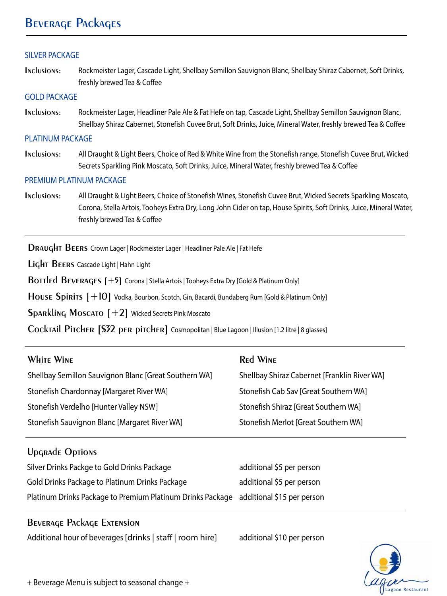# **Beverage Packages**

#### SILVER PACKAGE

**Inclusions:** Rockmeister Lager, Cascade Light, Shellbay Semillon Sauvignon Blanc, Shellbay Shiraz Cabernet, Soft Drinks, freshly brewed Tea & Coffee

#### GOLD PACKAGE

**Inclusions:** Rockmeister Lager, Headliner Pale Ale & Fat Hefe on tap, Cascade Light, Shellbay Semillon Sauvignon Blanc, Shellbay Shiraz Cabernet, Stonefish Cuvee Brut, Soft Drinks, Juice, Mineral Water, freshly brewed Tea & Coffee

#### PLATINUM PACKAGE

**Inclusions:** All Draught & Light Beers, Choice of Red & White Wine from the Stonefish range, Stonefish Cuvee Brut, Wicked Secrets Sparkling Pink Moscato, Soft Drinks, Juice, Mineral Water, freshly brewed Tea & Coffee

#### PREMIUM PLATINUM PACKAGE

**Inclusions:** All Draught & Light Beers, Choice of Stonefish Wines, Stonefish Cuvee Brut, Wicked Secrets Sparkling Moscato, Corona, Stella Artois, Tooheys Extra Dry, Long John Cider on tap, House Spirits, Soft Drinks, Juice, Mineral Water, freshly brewed Tea & Coffee

**Draught Beers** Crown Lager | Rockmeister Lager | Headliner Pale Ale | Fat Hefe

**Light Beers** Cascade Light | Hahn Light

**BOTTLED BEVERAGES [+5] Corona | Stella Artois | Tooheys Extra Dry [Gold & Platinum Only]** 

House Spirits  $[+10]$  Vodka, Bourbon, Scotch, Gin, Bacardi, Bundaberg Rum [Gold & Platinum Only]

**Sparkling Moscato [+2]** Wicked Secrets Pink Moscato

**Cocktail Pitcher [\$32 per pitcher]** Cosmopolitan | Blue Lagoon | Illusion [1.2 litre | 8 glasses]

|  | <b>WHITE WINE</b> |
|--|-------------------|
|  |                   |

Shellbay Semillon Sauvignon Blanc [Great Southern WA] Shellbay Shiraz Cabernet [Franklin River WA] Stonefish Chardonnay [Margaret River WA] Stonefish Cab Sav [Great Southern WA] Stonefish Verdelho [Hunter Valley NSW] Stonefish Shiraz [Great Southern WA] Stonefish Sauvignon Blanc [Margaret River WA] Stonefish Merlot [Great Southern WA]

#### **Red Wine**

#### **Upgrade Options**

| Silver Drinks Packge to Gold Drinks Package                                           | additional \$5 per person |
|---------------------------------------------------------------------------------------|---------------------------|
| Gold Drinks Package to Platinum Drinks Package                                        | additional \$5 per person |
| Platinum Drinks Package to Premium Platinum Drinks Package additional \$15 per person |                           |

#### **Beverage Package Extension**

Additional hour of beverages [drinks | staff | room hire] additional \$10 per person

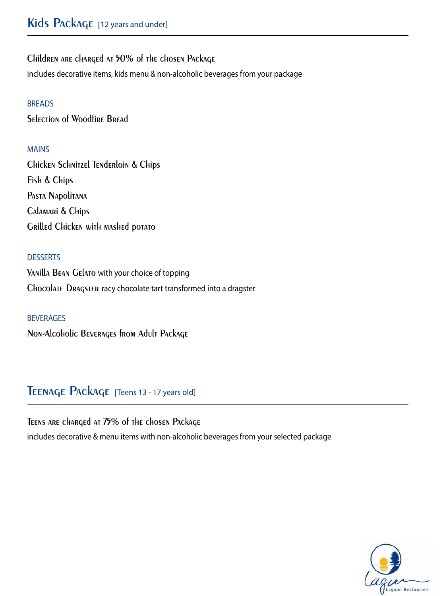**Children are charged at 50% of the chosen Package** 

includes decorative items, kids menu & non-alcoholic beverages from your package

## BREADS

**Selection of Woodfire Bread**

## MAINS

**Chicken Schnitzel Tenderloin & Chips Fish & Chips Pasta Napolitana Calamari & Chips Grilled Chicken with mashed potato**

## **DESSERTS**

**Vanilla Bean Gelato** with your choice of topping **Chocolate Dragster** racy chocolate tart transformed into a dragster

BEVERAGES **Non-Alcoholic Beverages from Adult Package**

# **Teenage Package [**Teens 13 - 17 years old]

**Teens are charged at 75% of the chosen Package**  includes decorative & menu items with non-alcoholic beverages from your selected package

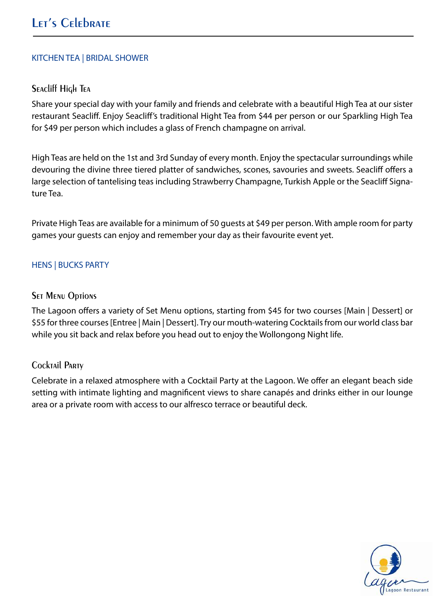#### KITCHEN TEA | BRIDAL SHOWER

## **Seacliff High Tea**

Share your special day with your family and friends and celebrate with a beautiful High Tea at our sister restaurant Seacliff. Enjoy Seacliff's traditional Hight Tea from \$44 per person or our Sparkling High Tea for \$49 per person which includes a glass of French champagne on arrival.

High Teas are held on the 1st and 3rd Sunday of every month. Enjoy the spectacular surroundings while devouring the divine three tiered platter of sandwiches, scones, savouries and sweets. Seacliff offers a large selection of tantelising teas including Strawberry Champagne, Turkish Apple or the Seacliff Signature Tea.

Private High Teas are available for a minimum of 50 guests at \$49 per person. With ample room for party games your guests can enjoy and remember your day as their favourite event yet.

## HENS | BUCKS PARTY

#### **SET MENU Options**

The Lagoon offers a variety of Set Menu options, starting from \$45 for two courses [Main | Dessert] or \$55 for three courses [Entree | Main | Dessert]. Try our mouth-watering Cocktails from our world class bar while you sit back and relax before you head out to enjoy the Wollongong Night life.

## **Cocktail Party**

Celebrate in a relaxed atmosphere with a Cocktail Party at the Lagoon. We offer an elegant beach side setting with intimate lighting and magnificent views to share canapés and drinks either in our lounge area or a private room with access to our alfresco terrace or beautiful deck.

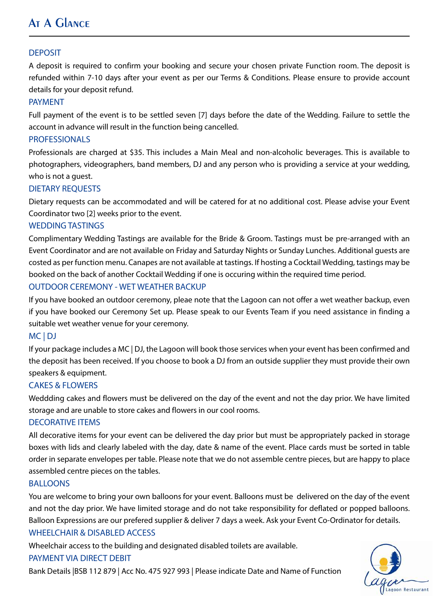# **At A Glance**

#### DEPOSIT

A deposit is required to confirm your booking and secure your chosen private Function room. The deposit is refunded within 7-10 days after your event as per our Terms & Conditions. Please ensure to provide account details for your deposit refund.

#### PAYMENT

Full payment of the event is to be settled seven [7] days before the date of the Wedding. Failure to settle the account in advance will result in the function being cancelled.

#### PROFESSIONALS

Professionals are charged at \$35. This includes a Main Meal and non-alcoholic beverages. This is available to photographers, videographers, band members, DJ and any person who is providing a service at your wedding, who is not a guest.

#### DIETARY REQUESTS

Dietary requests can be accommodated and will be catered for at no additional cost. Please advise your Event Coordinator two [2] weeks prior to the event.

#### WEDDING TASTINGS

Complimentary Wedding Tastings are available for the Bride & Groom. Tastings must be pre-arranged with an Event Coordinator and are not available on Friday and Saturday Nights or Sunday Lunches. Additional guests are costed as per function menu. Canapes are not available at tastings. If hosting a Cocktail Wedding, tastings may be booked on the back of another Cocktail Wedding if one is occuring within the required time period.

#### OUTDOOR CEREMONY - WET WEATHER BACKUP

If you have booked an outdoor ceremony, pleae note that the Lagoon can not offer a wet weather backup, even if you have booked our Ceremony Set up. Please speak to our Events Team if you need assistance in finding a suitable wet weather venue for your ceremony.

#### MC | DJ

If your package includes a MC | DJ, the Lagoon will book those services when your event has been confirmed and the deposit has been received. If you choose to book a DJ from an outside supplier they must provide their own speakers & equipment.

#### CAKES & FLOWERS

Weddding cakes and flowers must be delivered on the day of the event and not the day prior. We have limited storage and are unable to store cakes and flowers in our cool rooms.

#### DECORATIVE ITEMS

All decorative items for your event can be delivered the day prior but must be appropriately packed in storage boxes with lids and clearly labeled with the day, date & name of the event. Place cards must be sorted in table order in separate envelopes per table. Please note that we do not assemble centre pieces, but are happy to place assembled centre pieces on the tables.

#### BALLOONS

You are welcome to bring your own balloons for your event. Balloons must be delivered on the day of the event and not the day prior. We have limited storage and do not take responsibility for deflated or popped balloons. Balloon Expressions are our prefered supplier & deliver 7 days a week. Ask your Event Co-Ordinator for details. WHEELCHAIR & DISABLED ACCESS

Wheelchair access to the building and designated disabled toilets are available.

#### PAYMENT VIA DIRECT DEBIT

Bank Details |BSB 112 879 | Acc No. 475 927 993 | Please indicate Date and Name of Function

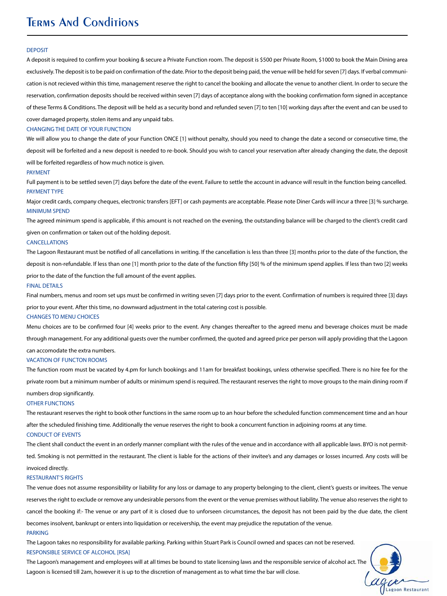# **Terms And Conditions**

#### **DEPOSIT**

A deposit is required to confirm your booking & secure a Private Function room. The deposit is \$500 per Private Room, \$1000 to book the Main Dining area exclusively. The deposit is to be paid on confirmation of the date. Prior to the deposit being paid, the venue will be held for seven [7] days. If verbal communication is not recieved within this time, management reserve the right to cancel the booking and allocate the venue to another client. In order to secure the reservation, confirmation deposits should be received within seven [7] days of acceptance along with the booking confirmation form signed in acceptance of these Terms & Conditions. The deposit will be held as a security bond and refunded seven [7] to ten [10] working days after the event and can be used to

cover damaged property, stolen items and any unpaid tabs.

#### CHANGING THE DATE OF YOUR FUNCTION

We will allow you to change the date of your Function ONCE [1] without penalty, should you need to change the date a second or consecutive time, the deposit will be forfeited and a new deposit is needed to re-book. Should you wish to cancel your reservation after already changing the date, the deposit

will be forfeited regardless of how much notice is given.

#### PAYMENT

Full payment is to be settled seven [7] days before the date of the event. Failure to settle the account in advance will result in the function being cancelled. PAYMENT TYPE

Major credit cards, company cheques, electronic transfers [EFT] or cash payments are acceptable. Please note Diner Cards will incur a three [3] % surcharge. MINIMUM SPEND

The agreed minimum spend is applicable, if this amount is not reached on the evening, the outstanding balance will be charged to the client's credit card given on confirmation or taken out of the holding deposit.

#### CANCELLATIONS

The Lagoon Restaurant must be notified of all cancellations in writing. If the cancellation is less than three [3] months prior to the date of the function, the deposit is non-refundable. If less than one [1] month prior to the date of the function fifty [50] % of the minimum spend applies. If less than two [2] weeks

prior to the date of the function the full amount of the event applies.

#### FINAL DETAILS

Final numbers, menus and room set ups must be confirmed in writing seven [7] days prior to the event. Confirmation of numbers is required three [3] days

prior to your event. After this time, no downward adjustment in the total catering cost is possible.

#### CHANGES TO MENU CHOICES

Menu choices are to be confirmed four [4] weeks prior to the event. Any changes thereafter to the agreed menu and beverage choices must be made

through management. For any additional guests over the number confirmed, the quoted and agreed price per person will apply providing that the Lagoon

can accomodate the extra numbers.

#### VACATION OF FUNCTON ROOMS

The function room must be vacated by 4.pm for lunch bookings and 11am for breakfast bookings, unless otherwise specified. There is no hire fee for the private room but a minimum number of adults or minimum spend is required. The restaurant reserves the right to move groups to the main dining room if numbers drop significantly.

#### OTHER FUNCTIONS

The restaurant reserves the right to book other functions in the same room up to an hour before the scheduled function commencement time and an hour after the scheduled finishing time. Additionally the venue reserves the right to book a concurrent function in adjoining rooms at any time.

#### CONDUCT OF EVENTS

The client shall conduct the event in an orderly manner compliant with the rules of the venue and in accordance with all applicable laws. BYO is not permitted. Smoking is not permitted in the restaurant. The client is liable for the actions of their invitee's and any damages or losses incurred. Any costs will be invoiced directly.

#### RESTAURANT'S RIGHTS

The venue does not assume responsibility or liability for any loss or damage to any property belonging to the client, client's guests or invitees. The venue reserves the right to exclude or remove any undesirable persons from the event or the venue premises without liability. The venue also reserves the right to cancel the booking if:- The venue or any part of it is closed due to unforseen circumstances, the deposit has not been paid by the due date, the client becomes insolvent, bankrupt or enters into liquidation or receivership, the event may prejudice the reputation of the venue. PARKING

The Lagoon takes no responsibility for available parking. Parking within Stuart Park is Council owned and spaces can not be reserved. RESPONSIBLE SERVICE OF ALCOHOL [RSA]

The Lagoon's management and employees will at all times be bound to state licensing laws and the responsible service of alcohol act. The Lagoon is licensed till 2am, however it is up to the discretion of management as to what time the bar will close.

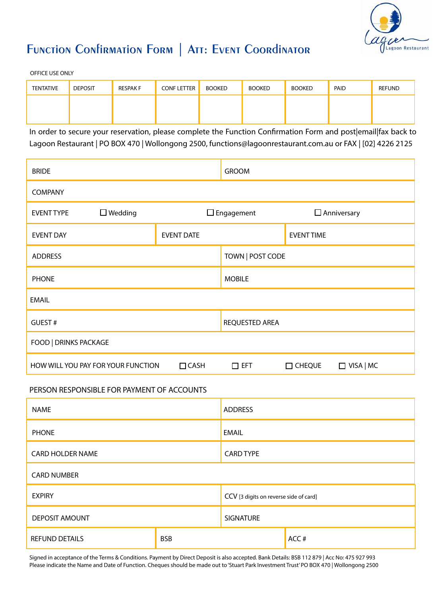

# **Function Confirmation Form | Att: Event Coordinator**

OFFICE USE ONLY

| <b>TENTATIVE</b> | <b>DEPOSIT</b> | <b>RESPAK F</b> | <b>CONF LETTER</b> | <b>BOOKED</b> | <b>BOOKED</b> | <b>BOOKED</b> | PAID | <b>REFUND</b> |
|------------------|----------------|-----------------|--------------------|---------------|---------------|---------------|------|---------------|
|                  |                |                 |                    |               |               |               |      |               |
|                  |                |                 |                    |               |               |               |      |               |

In order to secure your reservation, please complete the Function Confirmation Form and post|email|fax back to Lagoon Restaurant | PO BOX 470 | Wollongong 2500, functions@lagoonrestaurant.com.au or FAX | [02] 4226 2125

| <b>BRIDE</b>                 |                                    |                   | <b>GROOM</b>      |                    |                  |
|------------------------------|------------------------------------|-------------------|-------------------|--------------------|------------------|
| <b>COMPANY</b>               |                                    |                   |                   |                    |                  |
| <b>EVENT TYPE</b>            | $\Box$ Wedding                     |                   | $\Box$ Engagement | $\Box$ Anniversary |                  |
| <b>EVENT DAY</b>             |                                    | <b>EVENT DATE</b> |                   | <b>EVENT TIME</b>  |                  |
| <b>ADDRESS</b>               |                                    |                   | TOWN   POST CODE  |                    |                  |
| <b>PHONE</b>                 |                                    |                   | <b>MOBILE</b>     |                    |                  |
| <b>EMAIL</b>                 |                                    |                   |                   |                    |                  |
| GUEST#                       |                                    |                   | REQUESTED AREA    |                    |                  |
| <b>FOOD   DRINKS PACKAGE</b> |                                    |                   |                   |                    |                  |
|                              | HOW WILL YOU PAY FOR YOUR FUNCTION | $\Box$ CASH       | $\square$ EFT     | $\Box$ CHEQUE      | $\Box$ VISA   MC |

#### PERSON RESPONSIBLE FOR PAYMENT OF ACCOUNTS

| <b>NAME</b>             |            | <b>ADDRESS</b>                         |      |  |
|-------------------------|------------|----------------------------------------|------|--|
| <b>PHONE</b>            |            | <b>EMAIL</b>                           |      |  |
| <b>CARD HOLDER NAME</b> |            | <b>CARD TYPE</b>                       |      |  |
| <b>CARD NUMBER</b>      |            |                                        |      |  |
| <b>EXPIRY</b>           |            | CCV [3 digits on reverse side of card] |      |  |
| <b>DEPOSIT AMOUNT</b>   |            | <b>SIGNATURE</b>                       |      |  |
| <b>REFUND DETAILS</b>   | <b>BSB</b> |                                        | ACC# |  |

Signed in acceptance of the Terms & Conditions. Payment by Direct Deposit is also accepted. Bank Details: BSB 112 879 | Acc No: 475 927 993 Please indicate the Name and Date of Function. Cheques should be made out to 'Stuart Park Investment Trust' PO BOX 470 | Wollongong 2500